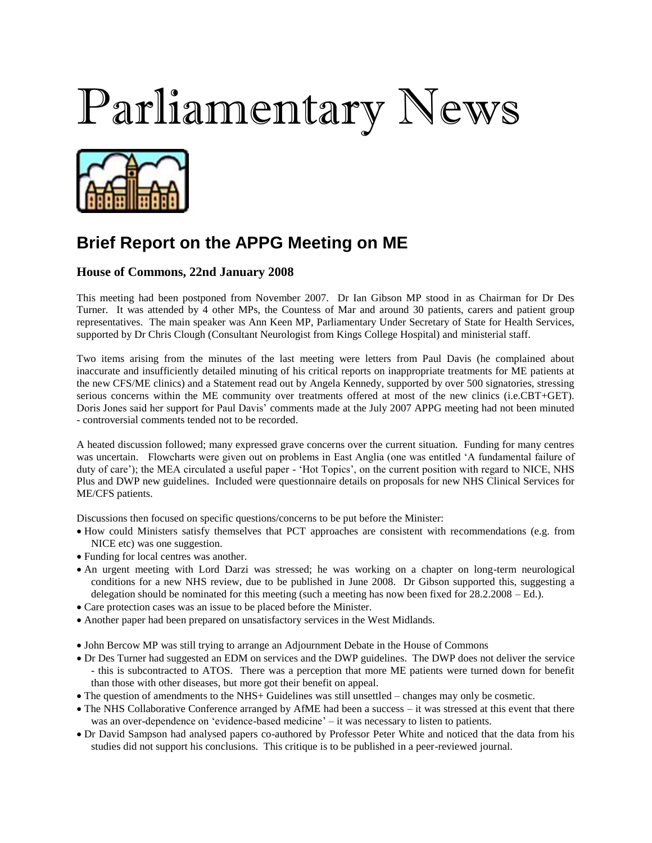## Parliamentary News



## **Brief Report on the APPG Meeting on ME**

## **House of Commons, 22nd January 2008**

This meeting had been postponed from November 2007. Dr Ian Gibson MP stood in as Chairman for Dr Des Turner. It was attended by 4 other MPs, the Countess of Mar and around 30 patients, carers and patient group representatives. The main speaker was Ann Keen MP, Parliamentary Under Secretary of State for Health Services, supported by Dr Chris Clough (Consultant Neurologist from Kings College Hospital) and ministerial staff.

Two items arising from the minutes of the last meeting were letters from Paul Davis (he complained about inaccurate and insufficiently detailed minuting of his critical reports on inappropriate treatments for ME patients at the new CFS/ME clinics) and a Statement read out by Angela Kennedy, supported by over 500 signatories, stressing serious concerns within the ME community over treatments offered at most of the new clinics (i.e.CBT+GET). Doris Jones said her support for Paul Davis' comments made at the July 2007 APPG meeting had not been minuted - controversial comments tended not to be recorded.

A heated discussion followed; many expressed grave concerns over the current situation. Funding for many centres was uncertain. Flowcharts were given out on problems in East Anglia (one was entitled 'A fundamental failure of duty of care'); the MEA circulated a useful paper - 'Hot Topics', on the current position with regard to NICE, NHS Plus and DWP new guidelines. Included were questionnaire details on proposals for new NHS Clinical Services for ME/CFS patients.

Discussions then focused on specific questions/concerns to be put before the Minister:

- How could Ministers satisfy themselves that PCT approaches are consistent with recommendations (e.g. from NICE etc) was one suggestion.
- Funding for local centres was another.
- An urgent meeting with Lord Darzi was stressed; he was working on a chapter on long-term neurological conditions for a new NHS review, due to be published in June 2008. Dr Gibson supported this, suggesting a delegation should be nominated for this meeting (such a meeting has now been fixed for 28.2.2008 – Ed.).
- Care protection cases was an issue to be placed before the Minister.
- Another paper had been prepared on unsatisfactory services in the West Midlands.
- John Bercow MP was still trying to arrange an Adjournment Debate in the House of Commons
- Dr Des Turner had suggested an EDM on services and the DWP guidelines. The DWP does not deliver the service - this is subcontracted to ATOS. There was a perception that more ME patients were turned down for benefit than those with other diseases, but more got their benefit on appeal.
- The question of amendments to the NHS+ Guidelines was still unsettled changes may only be cosmetic.
- The NHS Collaborative Conference arranged by AfME had been a success it was stressed at this event that there was an over-dependence on 'evidence-based medicine' – it was necessary to listen to patients.
- Dr David Sampson had analysed papers co-authored by Professor Peter White and noticed that the data from his studies did not support his conclusions. This critique is to be published in a peer-reviewed journal.